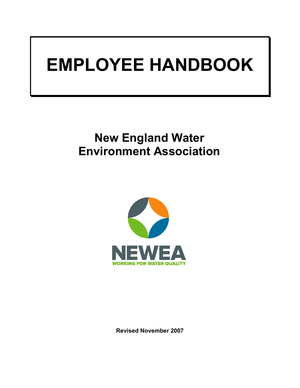# **EMPLOYEE HANDBOOK**

# **New England Water Environment Association**



**Revised November 2007**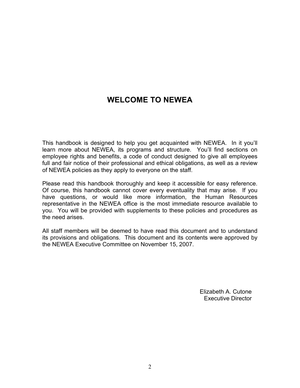# **WELCOME TO NEWEA**

This handbook is designed to help you get acquainted with NEWEA. In it you'll learn more about NEWEA, its programs and structure. You'll find sections on employee rights and benefits, a code of conduct designed to give all employees full and fair notice of their professional and ethical obligations, as well as a review of NEWEA policies as they apply to everyone on the staff.

Please read this handbook thoroughly and keep it accessible for easy reference. Of course, this handbook cannot cover every eventuality that may arise. If you have questions, or would like more information, the Human Resources representative in the NEWEA office is the most immediate resource available to you. You will be provided with supplements to these policies and procedures as the need arises.

All staff members will be deemed to have read this document and to understand its provisions and obligations. This document and its contents were approved by the NEWEA Executive Committee on November 15, 2007.

> Elizabeth A. Cutone Executive Director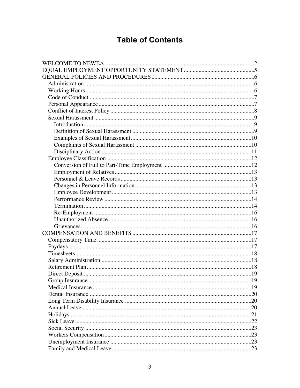# **Table of Contents**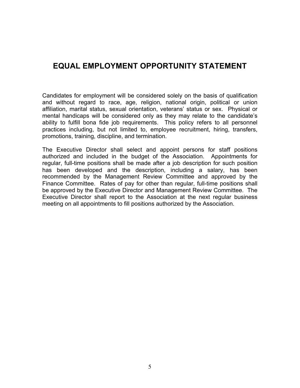### **EQUAL EMPLOYMENT OPPORTUNITY STATEMENT**

Candidates for employment will be considered solely on the basis of qualification and without regard to race, age, religion, national origin, political or union affiliation, marital status, sexual orientation, veterans' status or sex. Physical or mental handicaps will be considered only as they may relate to the candidate's ability to fulfill bona fide job requirements. This policy refers to all personnel practices including, but not limited to, employee recruitment, hiring, transfers, promotions, training, discipline, and termination.

The Executive Director shall select and appoint persons for staff positions authorized and included in the budget of the Association. Appointments for regular, full-time positions shall be made after a job description for such position has been developed and the description, including a salary, has been recommended by the Management Review Committee and approved by the Finance Committee. Rates of pay for other than regular, full-time positions shall be approved by the Executive Director and Management Review Committee. The Executive Director shall report to the Association at the next regular business meeting on all appointments to fill positions authorized by the Association.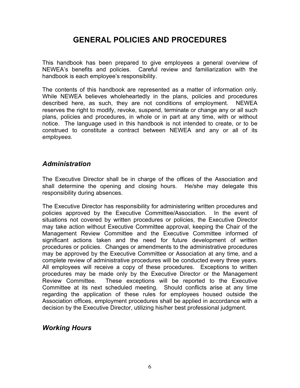# **GENERAL POLICIES AND PROCEDURES**

This handbook has been prepared to give employees a general overview of NEWEA's benefits and policies. Careful review and familiarization with the handbook is each employee's responsibility.

The contents of this handbook are represented as a matter of information only. While NEWEA believes wholeheartedly in the plans, policies and procedures described here, as such, they are not conditions of employment. NEWEA reserves the right to modify, revoke, suspend, terminate or change any or all such plans, policies and procedures, in whole or in part at any time, with or without notice. The language used in this handbook is not intended to create, or to be construed to constitute a contract between NEWEA and any or all of its *employees.*

#### *Administration*

The Executive Director shall be in charge of the offices of the Association and shall determine the opening and closing hours. He/she may delegate this responsibility during absences.

The Executive Director has responsibility for administering written procedures and policies approved by the Executive Committee/Association. In the event of situations not covered by written procedures or policies, the Executive Director may take action without Executive Committee approval, keeping the Chair of the Management Review Committee and the Executive Committee informed of significant actions taken and the need for future development of written procedures or policies. Changes or amendments to the administrative procedures may be approved by the Executive Committee or Association at any time, and a complete review of administrative procedures will be conducted every three years. All employees will receive a copy of these procedures. Exceptions to written procedures may be made only by the Executive Director or the Management Review Committee. These exceptions will be reported to the Executive Committee at its next scheduled meeting. Should conflicts arise at any time regarding the application of these rules for employees housed outside the Association offices, employment procedures shall be applied in accordance with a decision by the Executive Director, utilizing his/her best professional judgment.

#### *Working Hours*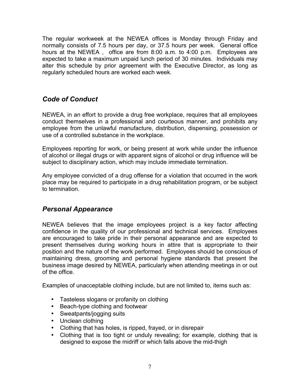The regular workweek at the NEWEA offices is Monday through Friday and normally consists of 7.5 hours per day, or 37.5 hours per week. General office hours at the NEWEA , office are from 8:00 a.m. to 4:00 p.m. Employees are expected to take a maximum unpaid lunch period of 30 minutes. Individuals may alter this schedule by prior agreement with the Executive Director, as long as regularly scheduled hours are worked each week.

#### *Code of Conduct*

NEWEA, in an effort to provide a drug free workplace, requires that all employees conduct themselves in a professional and courteous manner, and prohibits any employee from the unlawful manufacture, distribution, dispensing, possession or use of a controlled substance in the workplace.

Employees reporting for work, or being present at work while under the influence of alcohol or illegal drugs or with apparent signs of alcohol or drug influence will be subject to disciplinary action, which may include immediate termination.

Any employee convicted of a drug offense for a violation that occurred in the work place may be required to participate in a drug rehabilitation program, or be subject to termination.

#### *Personal Appearance*

NEWEA believes that the image employees project is a key factor affecting confidence in the quality of our professional and technical services. Employees are encouraged to take pride in their personal appearance and are expected to present themselves during working hours in attire that is appropriate to their position and the nature of the work performed. Employees should be conscious of maintaining dress, grooming and personal hygiene standards that present the business image desired by NEWEA, particularly when attending meetings in or out of the office.

Examples of unacceptable clothing include, but are not limited to, items such as:

- Tasteless slogans or profanity on clothing
- Beach-type clothing and footwear
- Sweatpants/jogging suits
- Unclean clothing
- Clothing that has holes, is ripped, frayed, or in disrepair
- Clothing that is too tight or unduly revealing; for example, clothing that is designed to expose the midriff or which falls above the mid-thigh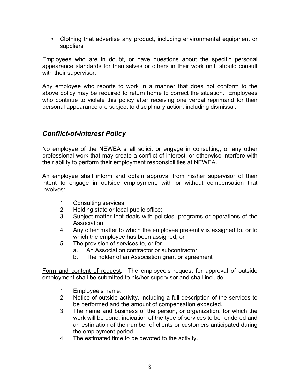• Clothing that advertise any product, including environmental equipment or suppliers

Employees who are in doubt, or have questions about the specific personal appearance standards for themselves or others in their work unit, should consult with their supervisor.

Any employee who reports to work in a manner that does not conform to the above policy may be required to return home to correct the situation. Employees who continue to violate this policy after receiving one verbal reprimand for their personal appearance are subject to disciplinary action, including dismissal.

#### *Conflict-of-Interest Policy*

No employee of the NEWEA shall solicit or engage in consulting, or any other professional work that may create a conflict of interest, or otherwise interfere with their ability to perform their employment responsibilities at NEWEA.

An employee shall inform and obtain approval from his/her supervisor of their intent to engage in outside employment, with or without compensation that involves:

- 1. Consulting services;
- 2. Holding state or local public office;
- 3. Subject matter that deals with policies, programs or operations of the Association,
- 4. Any other matter to which the employee presently is assigned to, or to which the employee has been assigned, or
- 5. The provision of services to, or for
	- a. An Association contractor or subcontractor
	- b. The holder of an Association grant or agreement

Form and content of request. The employee's request for approval of outside employment shall be submitted to his/her supervisor and shall include:

- 1. Employee's name.
- 2. Notice of outside activity, including a full description of the services to be performed and the amount of compensation expected.
- 3. The name and business of the person, or organization, for which the work will be done, indication of the type of services to be rendered and an estimation of the number of clients or customers anticipated during the employment period.
- 4. The estimated time to be devoted to the activity.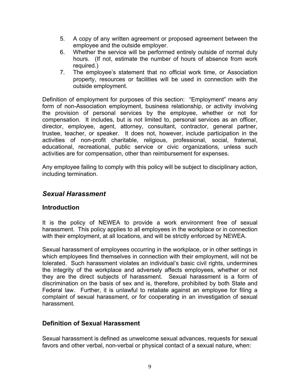- 5. A copy of any written agreement or proposed agreement between the employee and the outside employer.
- 6. Whether the service will be performed entirely outside of normal duty hours. (If not, estimate the number of hours of absence from work required.)
- 7. The employee's statement that no official work time, or Association property, resources or facilities will be used in connection with the outside employment.

Definition of employment for purposes of this section: "Employment" means any form of non-Association employment, business relationship, or activity involving the provision of personal services by the employee, whether or not for compensation. It includes, but is not limited to, personal services as an officer, director, employee, agent, attorney, consultant, contractor, general partner, trustee, teacher, or speaker. It does not, however, include participation in the activities of non-profit charitable, religious, professional, social, fraternal, educational, recreational, public service or civic organizations, unless such activities are for compensation, other than reimbursement for expenses.

Any employee failing to comply with this policy will be subject to disciplinary action, including termination.

#### *Sexual Harassment*

#### **Introduction**

It is the policy of NEWEA to provide a work environment free of sexual harassment. This policy applies to all employees in the workplace or in connection with their employment, at all locations, and will be strictly enforced by NEWEA.

Sexual harassment of employees occurring in the workplace, or in other settings in which employees find themselves in connection with their employment, will not be tolerated. Such harassment violates an individual's basic civil rights, undermines the integrity of the workplace and adversely affects employees, whether or not they are the direct subjects of harassment. Sexual harassment is a form of discrimination on the basis of sex and is, therefore, prohibited by both State and Federal law. Further, it is unlawful to retaliate against an employee for filing a complaint of sexual harassment, or for cooperating in an investigation of sexual harassment.

#### **Definition of Sexual Harassment**

Sexual harassment is defined as unwelcome sexual advances, requests for sexual favors and other verbal, non-verbal or physical contact of a sexual nature, when: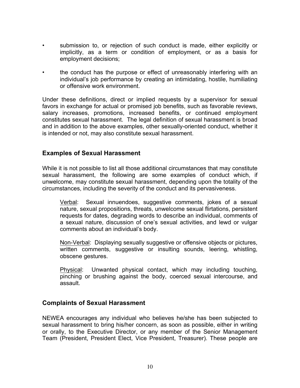- submission to, or rejection of such conduct is made, either explicitly or implicitly, as a term or condition of employment, or as a basis for employment decisions;
- the conduct has the purpose or effect of unreasonably interfering with an individual's job performance by creating an intimidating, hostile, humiliating or offensive work environment.

Under these definitions, direct or implied requests by a supervisor for sexual favors in exchange for actual or promised job benefits, such as favorable reviews, salary increases, promotions, increased benefits, or continued employment constitutes sexual harassment. The legal definition of sexual harassment is broad and in addition to the above examples, other sexually-oriented conduct, whether it is intended or not, may also constitute sexual harassment.

#### **Examples of Sexual Harassment**

While it is not possible to list all those additional circumstances that may constitute sexual harassment, the following are some examples of conduct which, if unwelcome, may constitute sexual harassment, depending upon the totality of the circumstances, including the severity of the conduct and its pervasiveness.

Verbal: Sexual innuendoes, suggestive comments, jokes of a sexual nature, sexual propositions, threats, unwelcome sexual flirtations, persistent requests for dates, degrading words to describe an individual, comments of a sexual nature, discussion of one's sexual activities, and lewd or vulgar comments about an individual's body.

Non-Verbal: Displaying sexually suggestive or offensive objects or pictures, written comments, suggestive or insulting sounds, leering, whistling, obscene gestures.

Physical: Unwanted physical contact, which may including touching, pinching or brushing against the body, coerced sexual intercourse, and assault.

#### **Complaints of Sexual Harassment**

NEWEA encourages any individual who believes he/she has been subjected to sexual harassment to bring his/her concern, as soon as possible, either in writing or orally, to the Executive Director, or any member of the Senior Management Team (President, President Elect, Vice President, Treasurer). These people are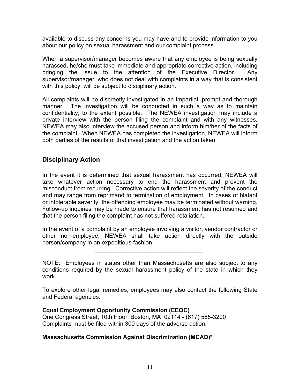available to discuss any concerns you may have and to provide information to you about our policy on sexual harassment and our complaint process.

When a supervisor/manager becomes aware that any employee is being sexually harassed, he/she must take immediate and appropriate corrective action, including bringing the issue to the attention of the Executive Director. Any supervisor/manager, who does not deal with complaints in a way that is consistent with this policy, will be subject to disciplinary action.

All complaints will be discreetly investigated in an impartial, prompt and thorough manner. The investigation will be conducted in such a way as to maintain confidentiality, to the extent possible. The NEWEA investigation may include a private interview with the person filing the complaint and with any witnesses. NEWEA may also interview the accused person and inform him/her of the facts of the complaint. When NEWEA has completed the investigation, NEWEA will inform both parties of the results of that investigation and the action taken.

#### **Disciplinary Action**

In the event it is determined that sexual harassment has occurred, NEWEA will take whatever action necessary to end the harassment and prevent the misconduct from recurring. Corrective action will reflect the severity of the conduct and may range from reprimand to termination of employment. In cases of blatant or intolerable severity, the offending employee may be terminated without warning. Follow-up inquiries may be made to ensure that harassment has not resumed and that the person filing the complaint has not suffered retaliation.

In the event of a complaint by an employee involving a visitor, vendor contractor or other non-employee, NEWEA shall take action directly with the outside person/company in an expeditious fashion.

\_\_\_\_\_\_\_\_\_\_\_\_\_\_\_\_\_\_\_\_\_\_\_\_\_\_\_\_\_\_\_\_\_

NOTE: Employees in states other than Massachusetts are also subject to any conditions required by the sexual harassment policy of the state in which they work.

To explore other legal remedies, employees may also contact the following State and Federal agencies:

#### **Equal Employment Opportunity Commission (EEOC)**

One Congress Street, 10th Floor, Boston, MA 02114 - (617) 565-3200 Complaints must be filed within 300 days of the adverse action.

#### **Massachusetts Commission Against Discrimination (MCAD)\***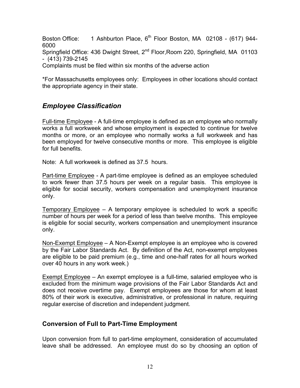Boston Office: 1 Ashburton Place, 6<sup>th</sup> Floor Boston, MA 02108 - (617) 944-6000

Springfield Office: 436 Dwight Street, 2<sup>nd</sup> Floor, Room 220, Springfield, MA 01103 - (413) 739-2145

Complaints must be filed within six months of the adverse action

\*For Massachusetts employees only: Employees in other locations should contact the appropriate agency in their state.

#### *Employee Classification*

Full-time Employee - A full-time employee is defined as an employee who normally works a full workweek and whose employment is expected to continue for twelve months or more, or an employee who normally works a full workweek and has been employed for twelve consecutive months or more. This employee is eligible for full benefits.

Note: A full workweek is defined as 37.5 hours.

Part-time Employee - A part-time employee is defined as an employee scheduled to work fewer than 37.5 hours per week on a regular basis. This employee is eligible for social security, workers compensation and unemployment insurance only.

Temporary Employee – A temporary employee is scheduled to work a specific number of hours per week for a period of less than twelve months. This employee is eligible for social security, workers compensation and unemployment insurance only.

Non-Exempt Employee – A Non-Exempt employee is an employee who is covered by the Fair Labor Standards Act. By definition of the Act, non-exempt employees are eligible to be paid premium (e.g., time and one-half rates for all hours worked over 40 hours in any work week.)

Exempt Employee – An exempt employee is a full-time, salaried employee who is excluded from the minimum wage provisions of the Fair Labor Standards Act and does not receive overtime pay. Exempt employees are those for whom at least 80% of their work is executive, administrative, or professional in nature, requiring regular exercise of discretion and independent judgment.

#### **Conversion of Full to Part-Time Employment**

Upon conversion from full to part-time employment, consideration of accumulated leave shall be addressed. An employee must do so by choosing an option of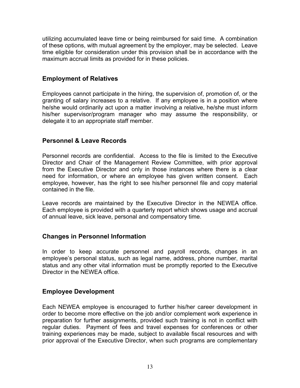utilizing accumulated leave time or being reimbursed for said time. A combination of these options, with mutual agreement by the employer, may be selected. Leave time eligible for consideration under this provision shall be in accordance with the maximum accrual limits as provided for in these policies.

#### **Employment of Relatives**

Employees cannot participate in the hiring, the supervision of, promotion of, or the granting of salary increases to a relative. If any employee is in a position where he/she would ordinarily act upon a matter involving a relative, he/she must inform his/her supervisor/program manager who may assume the responsibility, or delegate it to an appropriate staff member.

#### **Personnel & Leave Records**

Personnel records are confidential. Access to the file is limited to the Executive Director and Chair of the Management Review Committee, with prior approval from the Executive Director and only in those instances where there is a clear need for information, or where an employee has given written consent. Each employee, however, has the right to see his/her personnel file and copy material contained in the file.

Leave records are maintained by the Executive Director in the NEWEA office. Each employee is provided with a quarterly report which shows usage and accrual of annual leave, sick leave, personal and compensatory time.

#### **Changes in Personnel Information**

In order to keep accurate personnel and payroll records, changes in an employee's personal status, such as legal name, address, phone number, marital status and any other vital information must be promptly reported to the Executive Director in the NEWEA office.

#### **Employee Development**

Each NEWEA employee is encouraged to further his/her career development in order to become more effective on the job and/or complement work experience in preparation for further assignments, provided such training is not in conflict with regular duties. Payment of fees and travel expenses for conferences or other training experiences may be made, subject to available fiscal resources and with prior approval of the Executive Director, when such programs are complementary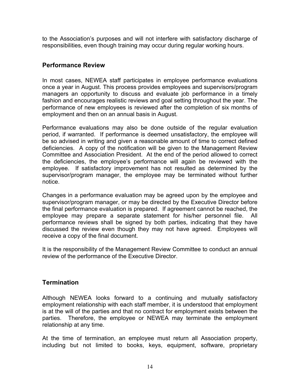to the Association's purposes and will not interfere with satisfactory discharge of responsibilities, even though training may occur during regular working hours.

#### **Performance Review**

In most cases, NEWEA staff participates in employee performance evaluations once a year in August. This process provides employees and supervisors/program managers an opportunity to discuss and evaluate job performance in a timely fashion and encourages realistic reviews and goal setting throughout the year. The performance of new employees is reviewed after the completion of six months of employment and then on an annual basis in August.

Performance evaluations may also be done outside of the regular evaluation period, if warranted. If performance is deemed unsatisfactory, the employee will be so advised in writing and given a reasonable amount of time to correct defined deficiencies. A copy of the notification will be given to the Management Review Committee and Association President. At the end of the period allowed to correct the deficiencies, the employee's performance will again be reviewed with the employee. If satisfactory improvement has not resulted as determined by the supervisor/program manager, the employee may be terminated without further notice.

Changes in a performance evaluation may be agreed upon by the employee and supervisor/program manager, or may be directed by the Executive Director before the final performance evaluation is prepared. If agreement cannot be reached, the employee may prepare a separate statement for his/her personnel file. All performance reviews shall be signed by both parties, indicating that they have discussed the review even though they may not have agreed. Employees will receive a copy of the final document.

It is the responsibility of the Management Review Committee to conduct an annual review of the performance of the Executive Director.

#### **Termination**

Although NEWEA looks forward to a continuing and mutually satisfactory employment relationship with each staff member, it is understood that employment is at the will of the parties and that no contract for employment exists between the parties. Therefore, the employee or NEWEA may terminate the employment relationship at any time.

At the time of termination, an employee must return all Association property, including but not limited to books, keys, equipment, software, proprietary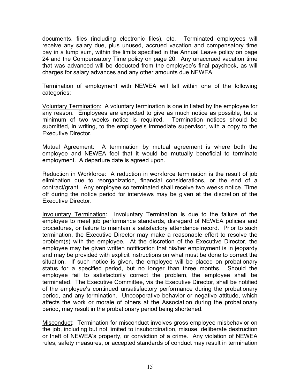documents, files (including electronic files), etc. Terminated employees will receive any salary due, plus unused, accrued vacation and compensatory time pay in a lump sum, within the limits specified in the Annual Leave policy on page 24 and the Compensatory Time policy on page 20. Any unaccrued vacation time that was advanced will be deducted from the employee's final paycheck, as will charges for salary advances and any other amounts due NEWEA.

Termination of employment with NEWEA will fall within one of the following categories:

Voluntary Termination: A voluntary termination is one initiated by the employee for any reason. Employees are expected to give as much notice as possible, but a minimum of two weeks notice is required. Termination notices should be submitted, in writing, to the employee's immediate supervisor, with a copy to the Executive Director.

Mutual Agreement: A termination by mutual agreement is where both the employee and NEWEA feel that it would be mutually beneficial to terminate employment. A departure date is agreed upon.

Reduction in Workforce: A reduction in workforce termination is the result of job elimination due to reorganization, financial considerations, or the end of a contract/grant. Any employee so terminated shall receive two weeks notice. Time off during the notice period for interviews may be given at the discretion of the Executive Director.

Involuntary Termination: Involuntary Termination is due to the failure of the employee to meet job performance standards, disregard of NEWEA policies and procedures, or failure to maintain a satisfactory attendance record. Prior to such termination, the Executive Director may make a reasonable effort to resolve the problem(s) with the employee. At the discretion of the Executive Director, the employee may be given written notification that his/her employment is in jeopardy and may be provided with explicit instructions on what must be done to correct the situation. If such notice is given, the employee will be placed on probationary status for a specified period, but no longer than three months. Should the employee fail to satisfactorily correct the problem, the employee shall be terminated. The Executive Committee, via the Executive Director, shall be notified of the employee's continued unsatisfactory performance during the probationary period, and any termination. Uncooperative behavior or negative attitude, which affects the work or morale of others at the Association during the probationary period, may result in the probationary period being shortened.

Misconduct: Termination for misconduct involves gross employee misbehavior on the job, including but not limited to insubordination, misuse, deliberate destruction or theft of NEWEA's property, or conviction of a crime. Any violation of NEWEA rules, safety measures, or accepted standards of conduct may result in termination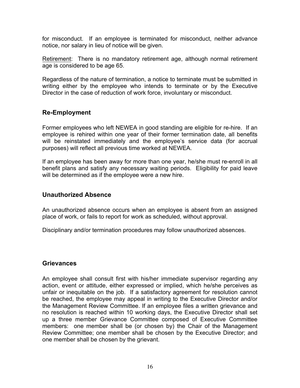for misconduct. If an employee is terminated for misconduct, neither advance notice, nor salary in lieu of notice will be given.

Retirement: There is no mandatory retirement age, although normal retirement age is considered to be age 65.

Regardless of the nature of termination, a notice to terminate must be submitted in writing either by the employee who intends to terminate or by the Executive Director in the case of reduction of work force, involuntary or misconduct.

#### **Re-Employment**

Former employees who left NEWEA in good standing are eligible for re-hire. If an employee is rehired within one year of their former termination date, all benefits will be reinstated immediately and the employee's service data (for accrual purposes) will reflect all previous time worked at NEWEA.

If an employee has been away for more than one year, he/she must re-enroll in all benefit plans and satisfy any necessary waiting periods. Eligibility for paid leave will be determined as if the employee were a new hire.

#### **Unauthorized Absence**

An unauthorized absence occurs when an employee is absent from an assigned place of work, or fails to report for work as scheduled, without approval.

Disciplinary and/or termination procedures may follow unauthorized absences.

#### **Grievances**

An employee shall consult first with his/her immediate supervisor regarding any action, event or attitude, either expressed or implied, which he/she perceives as unfair or inequitable on the job. If a satisfactory agreement for resolution cannot be reached, the employee may appeal in writing to the Executive Director and/or the Management Review Committee. If an employee files a written grievance and no resolution is reached within 10 working days, the Executive Director shall set up a three member Grievance Committee composed of Executive Committee members: one member shall be (or chosen by) the Chair of the Management Review Committee; one member shall be chosen by the Executive Director; and one member shall be chosen by the grievant.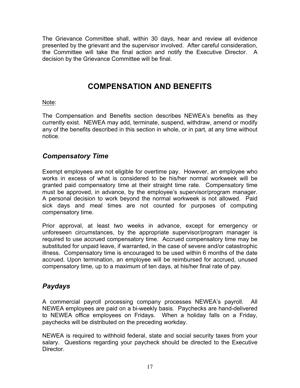The Grievance Committee shall, within 30 days, hear and review all evidence presented by the grievant and the supervisor involved. After careful consideration, the Committee will take the final action and notify the Executive Director. A decision by the Grievance Committee will be final.

## **COMPENSATION AND BENEFITS**

#### Note:

The Compensation and Benefits section describes NEWEA's benefits as they currently exist. NEWEA may add, terminate, suspend, withdraw, amend or modify any of the benefits described in this section in whole, or in part, at any time without notice.

#### *Compensatory Time*

Exempt employees are not eligible for overtime pay. However, an employee who works in excess of what is considered to be his/her normal workweek will be granted paid compensatory time at their straight time rate. Compensatory time must be approved, in advance, by the employee's supervisor/program manager. A personal decision to work beyond the normal workweek is not allowed. Paid sick days and meal times are not counted for purposes of computing compensatory time.

Prior approval, at least two weeks in advance, except for emergency or unforeseen circumstances, by the appropriate supervisor/program manager is required to use accrued compensatory time. Accrued compensatory time may be substituted for unpaid leave, if warranted, in the case of severe and/or catastrophic illness. Compensatory time is encouraged to be used within 6 months of the date accrued. Upon termination, an employee will be reimbursed for accrued, unused compensatory time, up to a maximum of ten days, at his/her final rate of pay.

#### *Paydays*

A commercial payroll processing company processes NEWEA's payroll. All NEWEA employees are paid on a bi-weekly basis. Paychecks are hand-delivered to NEWEA office employees on Fridays. When a holiday falls on a Friday, paychecks will be distributed on the preceding workday.

NEWEA is required to withhold federal, state and social security taxes from your salary. Questions regarding your paycheck should be directed to the Executive Director.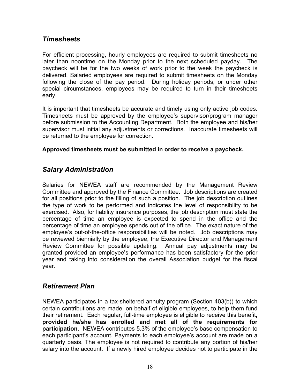#### *Timesheets*

For efficient processing, hourly employees are required to submit timesheets no later than noontime on the Monday prior to the next scheduled payday. The paycheck will be for the two weeks of work prior to the week the paycheck is delivered. Salaried employees are required to submit timesheets on the Monday following the close of the pay period. During holiday periods, or under other special circumstances, employees may be required to turn in their timesheets early.

It is important that timesheets be accurate and timely using only active job codes. Timesheets must be approved by the employee's supervisor/program manager before submission to the Accounting Department. Both the employee and his/her supervisor must initial any adjustments or corrections. Inaccurate timesheets will be returned to the employee for correction.

#### **Approved timesheets must be submitted in order to receive a paycheck.**

#### *Salary Administration*

Salaries for NEWEA staff are recommended by the Management Review Committee and approved by the Finance Committee. Job descriptions are created for all positions prior to the filling of such a position. The job description outlines the type of work to be performed and indicates the level of responsibility to be exercised. Also, for liability insurance purposes, the job description must state the percentage of time an employee is expected to spend in the office and the percentage of time an employee spends out of the office. The exact nature of the employee's out-of-the-office responsibilities will be noted. Job descriptions may be reviewed biennially by the employee, the Executive Director and Management Review Committee for possible updating. Annual pay adjustments may be granted provided an employee's performance has been satisfactory for the prior year and taking into consideration the overall Association budget for the fiscal year.

#### *Retirement Plan*

NEWEA participates in a tax-sheltered annuity program (Section 403(b)) to which certain contributions are made, on behalf of eligible employees, to help them fund their retirement. Each regular, full-time employee is eligible to receive this benefit**, provided he/she has enrolled and met all of the requirements for participation**. NEWEA contributes 5.3% of the employee's base compensation to each participant's account. Payments to each employee's account are made on a quarterly basis. The employee is not required to contribute any portion of his/her salary into the account. If a newly hired employee decides not to participate in the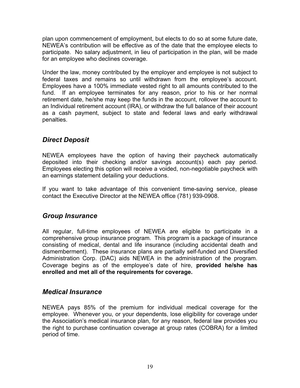plan upon commencement of employment, but elects to do so at some future date, NEWEA's contribution will be effective as of the date that the employee elects to participate. No salary adjustment, in lieu of participation in the plan, will be made for an employee who declines coverage.

Under the law, money contributed by the employer and employee is not subject to federal taxes and remains so until withdrawn from the employee's account. Employees have a 100% immediate vested right to all amounts contributed to the fund. If an employee terminates for any reason, prior to his or her normal retirement date, he/she may keep the funds in the account, rollover the account to an Individual retirement account (IRA), or withdraw the full balance of their account as a cash payment, subject to state and federal laws and early withdrawal penalties.

#### *Direct Deposit*

NEWEA employees have the option of having their paycheck automatically deposited into their checking and/or savings account(s) each pay period. Employees electing this option will receive a voided, non-negotiable paycheck with an earnings statement detailing your deductions.

If you want to take advantage of this convenient time-saving service, please contact the Executive Director at the NEWEA office (781) 939-0908.

#### *Group Insurance*

All regular, full-time employees of NEWEA are eligible to participate in a comprehensive group insurance program. This program is a package of insurance consisting of medical, dental and life insurance (including accidental death and dismemberment). These insurance plans are partially self-funded and Diversified Administration Corp. (DAC) aids NEWEA in the administration of the program. Coverage begins as of the employee's date of hire, **provided he/she has enrolled and met all of the requirements for coverage.**

#### *Medical Insurance*

NEWEA pays 85% of the premium for individual medical coverage for the employee. Whenever you, or your dependents, lose eligibility for coverage under the Association's medical insurance plan, for any reason, federal law provides you the right to purchase continuation coverage at group rates (COBRA) for a limited period of time.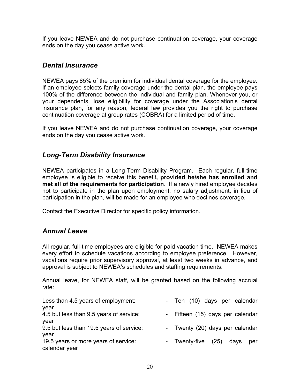If you leave NEWEA and do not purchase continuation coverage, your coverage ends on the day you cease active work.

#### *Dental Insurance*

NEWEA pays 85% of the premium for individual dental coverage for the employee. If an employee selects family coverage under the dental plan, the employee pays 100% of the difference between the individual and family plan. Whenever you, or your dependents, lose eligibility for coverage under the Association's dental insurance plan, for any reason, federal law provides you the right to purchase continuation coverage at group rates (COBRA) for a limited period of time.

If you leave NEWEA and do not purchase continuation coverage, your coverage ends on the day you cease active work.

#### *Long-Term Disability Insurance*

NEWEA participates in a Long-Term Disability Program. Each regular, full-time employee is eligible to receive this benefit**, provided he/she has enrolled and met all of the requirements for participation**. If a newly hired employee decides not to participate in the plan upon employment, no salary adjustment, in lieu of participation in the plan, will be made for an employee who declines coverage.

Contact the Executive Director for specific policy information.

#### *Annual Leave*

All regular, full-time employees are eligible for paid vacation time. NEWEA makes every effort to schedule vacations according to employee preference. However, vacations require prior supervisory approval, at least two weeks in advance, and approval is subject to NEWEA's schedules and staffing requirements.

Annual leave, for NEWEA staff, will be granted based on the following accrual rate:

| Less than 4.5 years of employment:<br>year | - Ten (10) days per calendar      |
|--------------------------------------------|-----------------------------------|
| 4.5 but less than 9.5 years of service:    | - Fifteen (15) days per calendar  |
| year                                       |                                   |
| 9.5 but less than 19.5 years of service:   | - Twenty (20) days per calendar   |
| year                                       |                                   |
| 19.5 years or more years of service:       | - Twenty-five (25)<br>davs<br>per |
| calendar year                              |                                   |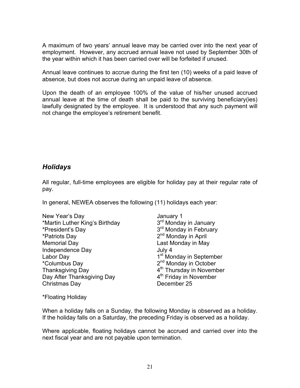A maximum of two years' annual leave may be carried over into the next year of employment. However, any accrued annual leave not used by September 30th of the year within which it has been carried over will be forfeited if unused.

Annual leave continues to accrue during the first ten (10) weeks of a paid leave of absence, but does not accrue during an unpaid leave of absence.

Upon the death of an employee 100% of the value of his/her unused accrued annual leave at the time of death shall be paid to the surviving beneficiary(ies) lawfully designated by the employee. It is understood that any such payment will not change the employee's retirement benefit.

#### *Holidays*

All regular, full-time employees are eligible for holiday pay at their regular rate of pay.

In general, NEWEA observes the following (11) holidays each year:

New Year's Day<br>
\*Martin Luther King's Birthday 3<sup>rd</sup> Monday in January \*Martin Luther King's Birthday \*President's Day  $\overline{3}^{rd}$  Monday in February \*Patriots Day 2<sup>nd</sup> Monday in April Memorial Day Last Monday in May Independence Day **July 4** Labor Day 1<sup>st</sup> Monday in September \*Columbus Day 2nd Monday in October Thanksgiving  $\overline{D}$ ay  $4^{\text{th}}$  Thursday in November Day After Thanksgiving Day  $4<sup>th</sup>$  Friday in November Christmas Day December 25

\*Floating Holiday

When a holiday falls on a Sunday, the following Monday is observed as a holiday. If the holiday falls on a Saturday, the preceding Friday is observed as a holiday.

Where applicable, floating holidays cannot be accrued and carried over into the next fiscal year and are not payable upon termination.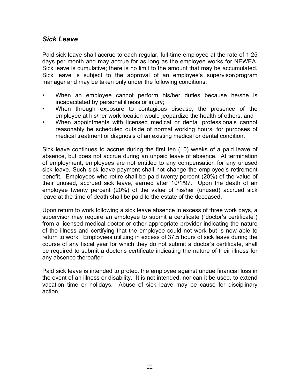#### *Sick Leave*

Paid sick leave shall accrue to each regular, full-time employee at the rate of 1.25 days per month and may accrue for as long as the employee works for NEWEA. Sick leave is cumulative; there is no limit to the amount that may be accumulated. Sick leave is subject to the approval of an employee's supervisor/program manager and may be taken only under the following conditions:

- When an employee cannot perform his/her duties because he/she is incapacitated by personal illness or injury;
- When through exposure to contagious disease, the presence of the employee at his/her work location would jeopardize the health of others, and
- When appointments with licensed medical or dental professionals cannot reasonably be scheduled outside of normal working hours, for purposes of medical treatment or diagnosis of an existing medical or dental condition.

Sick leave continues to accrue during the first ten (10) weeks of a paid leave of absence, but does not accrue during an unpaid leave of absence. At termination of employment, employees are not entitled to any compensation for any unused sick leave. Such sick leave payment shall not change the employee's retirement benefit. Employees who retire shall be paid twenty percent (20%) of the value of their unused, accrued sick leave, earned after 10/1/97. Upon the death of an employee twenty percent (20%) of the value of his/her (unused) accrued sick leave at the time of death shall be paid to the estate of the deceased.

Upon return to work following a sick leave absence in excess of three work days, a supervisor may require an employee to submit a certificate ("doctor's certificate") from a licensed medical doctor or other appropriate provider indicating the nature of the illness and certifying that the employee could not work but is now able to return to work. Employees utilizing in excess of 37.5 hours of sick leave during the course of any fiscal year for which they do not submit a doctor's certificate, shall be required to submit a doctor's certificate indicating the nature of their illness for any absence thereafter

Paid sick leave is intended to protect the employee against undue financial loss in the event of an illness or disability. It is not intended, nor can it be used, to extend vacation time or holidays. Abuse of sick leave may be cause for disciplinary action.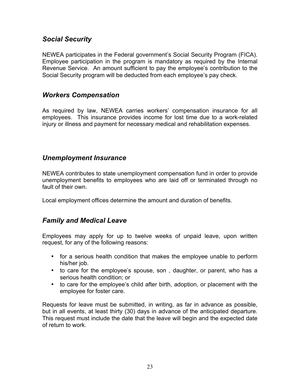#### *Social Security*

NEWEA participates in the Federal government's Social Security Program (FICA). Employee participation in the program is mandatory as required by the Internal Revenue Service. An amount sufficient to pay the employee's contribution to the Social Security program will be deducted from each employee's pay check.

#### *Workers Compensation*

As required by law, NEWEA carries workers' compensation insurance for all employees. This insurance provides income for lost time due to a work-related injury or illness and payment for necessary medical and rehabilitation expenses.

#### *Unemployment Insurance*

NEWEA contributes to state unemployment compensation fund in order to provide unemployment benefits to employees who are laid off or terminated through no fault of their own.

Local employment offices determine the amount and duration of benefits.

#### *Family and Medical Leave*

Employees may apply for up to twelve weeks of unpaid leave, upon written request, for any of the following reasons:

- for a serious health condition that makes the employee unable to perform his/her job.
- to care for the employee's spouse, son , daughter, or parent, who has a serious health condition; or
- to care for the employee's child after birth, adoption, or placement with the employee for foster care.

Requests for leave must be submitted, in writing, as far in advance as possible, but in all events, at least thirty (30) days in advance of the anticipated departure. This request must include the date that the leave will begin and the expected date of return to work.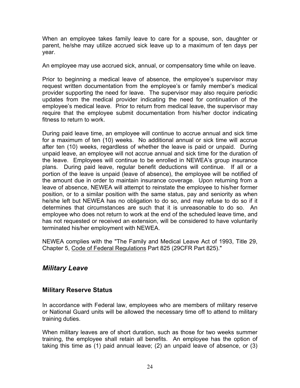When an employee takes family leave to care for a spouse, son, daughter or parent, he/she may utilize accrued sick leave up to a maximum of ten days per year.

An employee may use accrued sick, annual, or compensatory time while on leave.

Prior to beginning a medical leave of absence, the employee's supervisor may request written documentation from the employee's or family member's medical provider supporting the need for leave. The supervisor may also require periodic updates from the medical provider indicating the need for continuation of the employee's medical leave. Prior to return from medical leave, the supervisor may require that the employee submit documentation from his/her doctor indicating fitness to return to work.

During paid leave time, an employee will continue to accrue annual and sick time for a maximum of ten (10) weeks. No additional annual or sick time will accrue after ten (10) weeks, regardless of whether the leave is paid or unpaid. During unpaid leave, an employee will not accrue annual and sick time for the duration of the leave. Employees will continue to be enrolled in NEWEA's group insurance plans. During paid leave, regular benefit deductions will continue. If all or a portion of the leave is unpaid (leave of absence), the employee will be notified of the amount due in order to maintain insurance coverage. Upon returning from a leave of absence, NEWEA will attempt to reinstate the employee to his/her former position, or to a similar position with the same status, pay and seniority as when he/she left but NEWEA has no obligation to do so, and may refuse to do so if it determines that circumstances are such that it is unreasonable to do so. An employee who does not return to work at the end of the scheduled leave time, and has not requested or received an extension, will be considered to have voluntarily terminated his/her employment with NEWEA.

NEWEA complies with the "The Family and Medical Leave Act of 1993, Title 29, Chapter 5, Code of Federal Regulations Part 825 (29CFR Part 825)."

#### *Military Leave*

#### **Military Reserve Status**

In accordance with Federal law, employees who are members of military reserve or National Guard units will be allowed the necessary time off to attend to military training duties.

When military leaves are of short duration, such as those for two weeks summer training, the employee shall retain all benefits. An employee has the option of taking this time as (1) paid annual leave; (2) an unpaid leave of absence, or (3)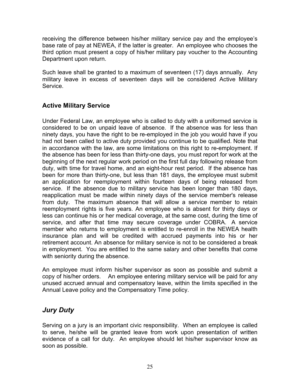receiving the difference between his/her military service pay and the employee's base rate of pay at NEWEA, if the latter is greater. An employee who chooses the third option must present a copy of his/her military pay voucher to the Accounting Department upon return.

Such leave shall be granted to a maximum of seventeen (17) days annually. Any military leave in excess of seventeen days will be considered Active Military Service.

#### **Active Military Service**

Under Federal Law, an employee who is called to duty with a uniformed service is considered to be on unpaid leave of absence. If the absence was for less than ninety days, you have the right to be re-employed in the job you would have if you had not been called to active duty provided you continue to be qualified. Note that in accordance with the law, are some limitations on this right to re-employment. If the absence has been for less than thirty-one days, you must report for work at the beginning of the next regular work period on the first full day following release from duty, with time for travel home, and an eight-hour rest period. If the absence has been for more than thirty-one, but less than 181 days, the employee must submit an application for reemployment within fourteen days of being released from service. If the absence due to military service has been longer than 180 days, reapplication must be made within ninety days of the service member's release from duty. The maximum absence that will allow a service member to retain reemployment rights is five years. An employee who is absent for thirty days or less can continue his or her medical coverage, at the same cost, during the time of service, and after that time may secure coverage under COBRA. A service member who returns to employment is entitled to re-enroll in the NEWEA health insurance plan and will be credited with accrued payments into his or her retirement account. An absence for military service is not to be considered a break in employment. You are entitled to the same salary and other benefits that come with seniority during the absence.

An employee must inform his/her supervisor as soon as possible and submit a copy of his/her orders. An employee entering military service will be paid for any unused accrued annual and compensatory leave, within the limits specified in the Annual Leave policy and the Compensatory Time policy.

#### *Jury Duty*

Serving on a jury is an important civic responsibility. When an employee is called to serve, he/she will be granted leave from work upon presentation of written evidence of a call for duty. An employee should let his/her supervisor know as soon as possible.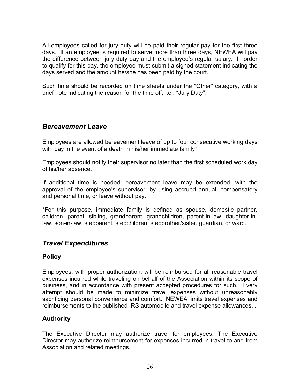All employees called for jury duty will be paid their regular pay for the first three days. If an employee is required to serve more than three days, NEWEA will pay the difference between jury duty pay and the employee's regular salary. In order to qualify for this pay, the employee must submit a signed statement indicating the days served and the amount he/she has been paid by the court.

Such time should be recorded on time sheets under the "Other" category, with a brief note indicating the reason for the time off, i.e., "Jury Duty".

#### *Bereavement Leave*

Employees are allowed bereavement leave of up to four consecutive working days with pay in the event of a death in his/her immediate family\*.

Employees should notify their supervisor no later than the first scheduled work day of his/her absence.

If additional time is needed, bereavement leave may be extended, with the approval of the employee's supervisor, by using accrued annual, compensatory and personal time, or leave without pay.

\*For this purpose, immediate family is defined as spouse, domestic partner, children, parent, sibling, grandparent, grandchildren, parent-in-law, daughter-inlaw, son-in-law, stepparent, stepchildren, stepbrother/sister, guardian, or ward.

#### *Travel Expenditures*

#### **Policy**

Employees, with proper authorization, will be reimbursed for all reasonable travel expenses incurred while traveling on behalf of the Association within its scope of business, and in accordance with present accepted procedures for such. Every attempt should be made to minimize travel expenses without unreasonably sacrificing personal convenience and comfort. NEWEA limits travel expenses and reimbursements to the published IRS automobile and travel expense allowances. .

#### **Authority**

The Executive Director may authorize travel for employees. The Executive Director may authorize reimbursement for expenses incurred in travel to and from Association and related meetings.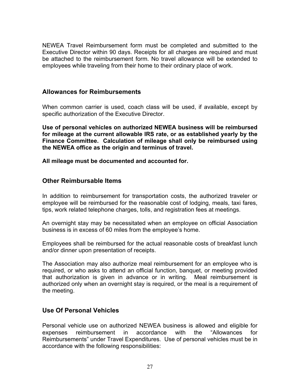NEWEA Travel Reimbursement form must be completed and submitted to the Executive Director within 90 days. Receipts for all charges are required and must be attached to the reimbursement form. No travel allowance will be extended to employees while traveling from their home to their ordinary place of work.

#### **Allowances for Reimbursements**

When common carrier is used, coach class will be used, if available, except by specific authorization of the Executive Director.

**Use of personal vehicles on authorized NEWEA business will be reimbursed for mileage at the current allowable IRS rate, or as established yearly by the Finance Committee. Calculation of mileage shall only be reimbursed using the NEWEA office as the origin and terminus of travel.**

**All mileage must be documented and accounted for.**

#### **Other Reimbursable Items**

In addition to reimbursement for transportation costs, the authorized traveler or employee will be reimbursed for the reasonable cost of lodging, meals, taxi fares, tips, work related telephone charges, tolls, and registration fees at meetings.

An overnight stay may be necessitated when an employee on official Association business is in excess of 60 miles from the employee's home.

Employees shall be reimbursed for the actual reasonable costs of breakfast lunch and/or dinner upon presentation of receipts.

The Association may also authorize meal reimbursement for an employee who is required, or who asks to attend an official function, banquet, or meeting provided that authorization is given in advance or in writing. Meal reimbursement is authorized only when an overnight stay is required, or the meal is a requirement of the meeting.

#### **Use Of Personal Vehicles**

Personal vehicle use on authorized NEWEA business is allowed and eligible for expenses reimbursement in accordance with the "Allowances for Reimbursements" under Travel Expenditures. Use of personal vehicles must be in accordance with the following responsibilities: